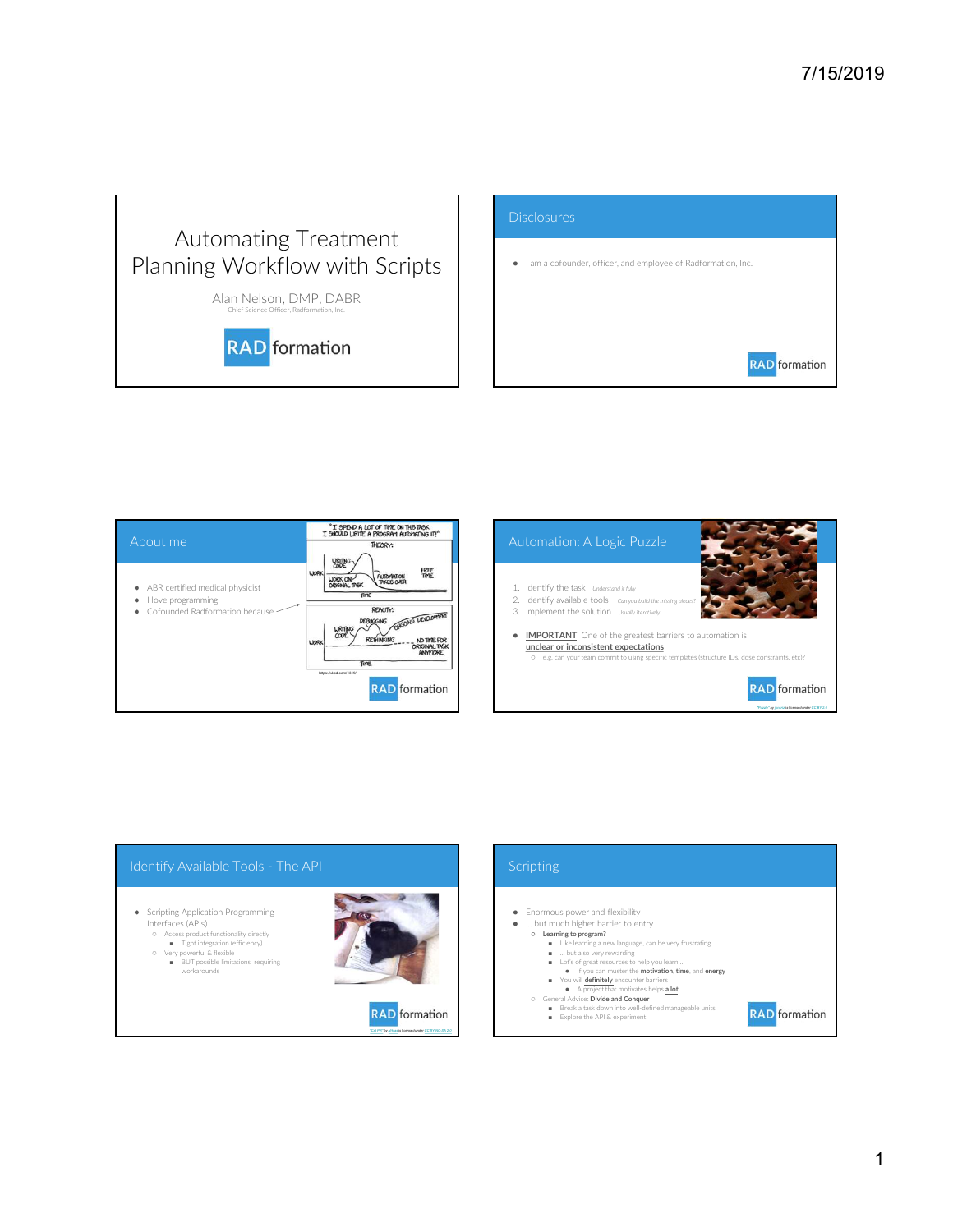## Automating Treatment Planning Workflow with Scripts

Alan Nelson, DMP, DABR



|                                                                                                                       | 7/15/2019                                                                             |
|-----------------------------------------------------------------------------------------------------------------------|---------------------------------------------------------------------------------------|
|                                                                                                                       |                                                                                       |
| mating Treatment<br><b>Norkflow with Scripts</b><br>In Nelson, DMP, DABR<br>Chief Science Officer, Radformation, Inc. | <b>Disclosures</b><br>· I am a cofounder, officer, and employee of Radformation, Inc. |
| <b>RAD</b> formation                                                                                                  | <b>RAD</b> formation                                                                  |





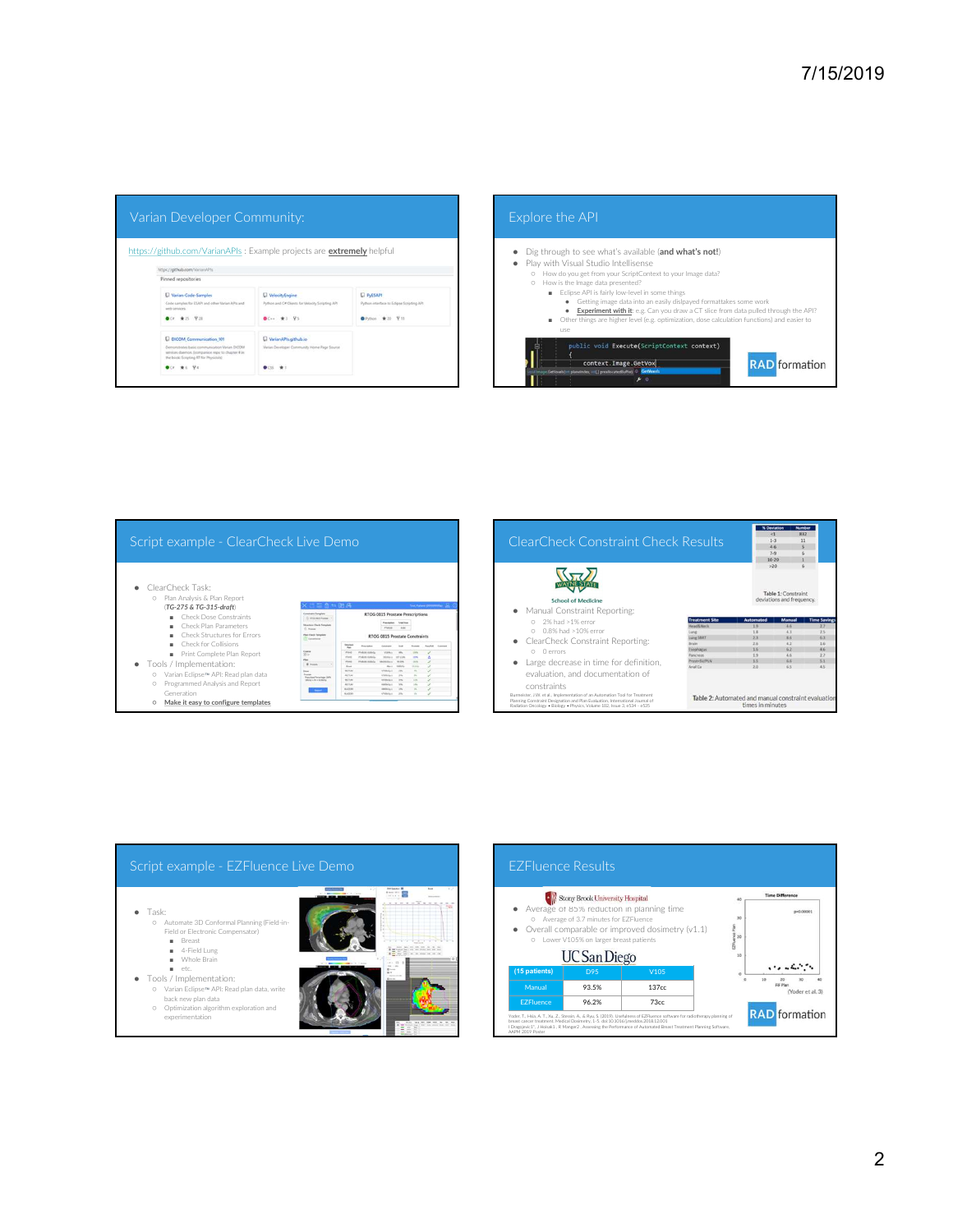| https://github.com/VarianAPis<br>Pinned repositories<br><b>CI PyESAPI</b><br>[] Varian-Code-Samples<br><b>U</b> VelocityEngine<br>Code samples for ESAPI and other Varian APIs and<br>Python interface to Edigne Scripting API<br>Python and C# Clients for Velocity Scripting API<br>with services.<br>$\bullet$<br><b>OCF #25 V28</b><br>●C++ ★3 平5<br>● Python ★ 20 平11<br>use<br>[] DICOM Communication 101<br><b>U</b> Varian APIs github io<br>Demonstrates basic communication Varian DICOM<br>Verian Developer Community Home Page Source<br>services daemon, (interpanion repo to chapter 4 in<br>the book: Scripting RT for Physicists)<br>$O(n + 1)$ with $194$<br><b>DCS ★1</b> | O How do you get from your ScriptContext to your Image data?<br>O How is the Image data presented?<br>Eclipse API is fairly low-level in some things<br>· Getting image data into an easily dislpayed formatta<br>Experiment with it: e.g. Can you draw a CT slice fr<br>Other things are higher level (e.g. optimization, dose calcu<br>public void Execute(ScriptContext context)<br>context. Image. GetVox<br>GetVoxels(int plansinder, intil ] prealiocatedDuffer) (C CetVoxels<br>$\blacktriangleright$ |
|---------------------------------------------------------------------------------------------------------------------------------------------------------------------------------------------------------------------------------------------------------------------------------------------------------------------------------------------------------------------------------------------------------------------------------------------------------------------------------------------------------------------------------------------------------------------------------------------------------------------------------------------------------------------------------------------|--------------------------------------------------------------------------------------------------------------------------------------------------------------------------------------------------------------------------------------------------------------------------------------------------------------------------------------------------------------------------------------------------------------------------------------------------------------------------------------------------------------|
|                                                                                                                                                                                                                                                                                                                                                                                                                                                                                                                                                                                                                                                                                             |                                                                                                                                                                                                                                                                                                                                                                                                                                                                                                              |
|                                                                                                                                                                                                                                                                                                                                                                                                                                                                                                                                                                                                                                                                                             |                                                                                                                                                                                                                                                                                                                                                                                                                                                                                                              |
|                                                                                                                                                                                                                                                                                                                                                                                                                                                                                                                                                                                                                                                                                             |                                                                                                                                                                                                                                                                                                                                                                                                                                                                                                              |
|                                                                                                                                                                                                                                                                                                                                                                                                                                                                                                                                                                                                                                                                                             |                                                                                                                                                                                                                                                                                                                                                                                                                                                                                                              |
| Script example - ClearCheck Live Demo                                                                                                                                                                                                                                                                                                                                                                                                                                                                                                                                                                                                                                                       | <b>ClearCheck Constraint Check Results</b>                                                                                                                                                                                                                                                                                                                                                                                                                                                                   |





| public void Execute(ScriptContext context)<br><b>RAD</b> formation<br>context. Image. GetVox<br>GetVoxels(int planeleder, inti[] prealiocatedBuffer) (2) GetVoxel<br>$\mathcal{F}$<br><b>N</b> Deviati<br><1<br>832<br>ClearCheck Constraint Check Results<br>$1\cdot 3$<br>$11\,$<br>46<br>×<br>$7-9$<br>6<br>$10 - 20$<br>л<br>>20<br>6<br>Table 1: Constraint<br>deviations and frequency.<br><b>School of Medicine</b><br>• Manual Constraint Reporting:<br>0 2% had >1% error<br>Manuai<br>te Saving<br>Head&Neck<br>15<br>4.6<br>2.7<br>O 0.8% had >10% error<br>1.8<br>4.3<br>2.5<br>Lung<br>$6.3$<br>$2.3$<br>8.6<br>Lung SBRT<br>• ClearCheck Constraint Reporting:<br>2.6<br>4.2<br>$1.6\,$<br>Brain<br>1/6<br>62.<br>$4.6$<br>Esophagus<br>O O errors<br>Pancreas<br>1.9<br>$4.6$<br>2.7<br>Prost+SV/PLN<br>1.5<br>6.6<br>5.1<br>• Large decrease in time for definition,<br>Anal Ca<br>2.0<br>6.5<br>4.5<br>evaluation, and documentation of<br>constraints<br>Burmeister, J.W. et al., Implementation of an Automation Tool for Treatment<br>Table 2: Automated and manual constraint evaluation<br>Planning Constraint Designation and Plan Evaluation, International Journal of<br>times in minutes<br>Radiation Oncology . Biology . Physics, Volume 102, Issue 3, e534 - e535 | Other things are higher level (e.g. optimization, dose calculation functions) and easier to<br>use | . Experiment with it: e.g. Can you draw a CT slice from data pulled through the API? |  |
|------------------------------------------------------------------------------------------------------------------------------------------------------------------------------------------------------------------------------------------------------------------------------------------------------------------------------------------------------------------------------------------------------------------------------------------------------------------------------------------------------------------------------------------------------------------------------------------------------------------------------------------------------------------------------------------------------------------------------------------------------------------------------------------------------------------------------------------------------------------------------------------------------------------------------------------------------------------------------------------------------------------------------------------------------------------------------------------------------------------------------------------------------------------------------------------------------------------------------------------------------------------------------------------------|----------------------------------------------------------------------------------------------------|--------------------------------------------------------------------------------------|--|
|                                                                                                                                                                                                                                                                                                                                                                                                                                                                                                                                                                                                                                                                                                                                                                                                                                                                                                                                                                                                                                                                                                                                                                                                                                                                                                |                                                                                                    |                                                                                      |  |
|                                                                                                                                                                                                                                                                                                                                                                                                                                                                                                                                                                                                                                                                                                                                                                                                                                                                                                                                                                                                                                                                                                                                                                                                                                                                                                |                                                                                                    |                                                                                      |  |
|                                                                                                                                                                                                                                                                                                                                                                                                                                                                                                                                                                                                                                                                                                                                                                                                                                                                                                                                                                                                                                                                                                                                                                                                                                                                                                |                                                                                                    |                                                                                      |  |
|                                                                                                                                                                                                                                                                                                                                                                                                                                                                                                                                                                                                                                                                                                                                                                                                                                                                                                                                                                                                                                                                                                                                                                                                                                                                                                |                                                                                                    |                                                                                      |  |
|                                                                                                                                                                                                                                                                                                                                                                                                                                                                                                                                                                                                                                                                                                                                                                                                                                                                                                                                                                                                                                                                                                                                                                                                                                                                                                |                                                                                                    |                                                                                      |  |
|                                                                                                                                                                                                                                                                                                                                                                                                                                                                                                                                                                                                                                                                                                                                                                                                                                                                                                                                                                                                                                                                                                                                                                                                                                                                                                |                                                                                                    |                                                                                      |  |
|                                                                                                                                                                                                                                                                                                                                                                                                                                                                                                                                                                                                                                                                                                                                                                                                                                                                                                                                                                                                                                                                                                                                                                                                                                                                                                |                                                                                                    |                                                                                      |  |
|                                                                                                                                                                                                                                                                                                                                                                                                                                                                                                                                                                                                                                                                                                                                                                                                                                                                                                                                                                                                                                                                                                                                                                                                                                                                                                |                                                                                                    |                                                                                      |  |
|                                                                                                                                                                                                                                                                                                                                                                                                                                                                                                                                                                                                                                                                                                                                                                                                                                                                                                                                                                                                                                                                                                                                                                                                                                                                                                |                                                                                                    |                                                                                      |  |
|                                                                                                                                                                                                                                                                                                                                                                                                                                                                                                                                                                                                                                                                                                                                                                                                                                                                                                                                                                                                                                                                                                                                                                                                                                                                                                |                                                                                                    |                                                                                      |  |
|                                                                                                                                                                                                                                                                                                                                                                                                                                                                                                                                                                                                                                                                                                                                                                                                                                                                                                                                                                                                                                                                                                                                                                                                                                                                                                |                                                                                                    |                                                                                      |  |
|                                                                                                                                                                                                                                                                                                                                                                                                                                                                                                                                                                                                                                                                                                                                                                                                                                                                                                                                                                                                                                                                                                                                                                                                                                                                                                |                                                                                                    |                                                                                      |  |
|                                                                                                                                                                                                                                                                                                                                                                                                                                                                                                                                                                                                                                                                                                                                                                                                                                                                                                                                                                                                                                                                                                                                                                                                                                                                                                |                                                                                                    |                                                                                      |  |